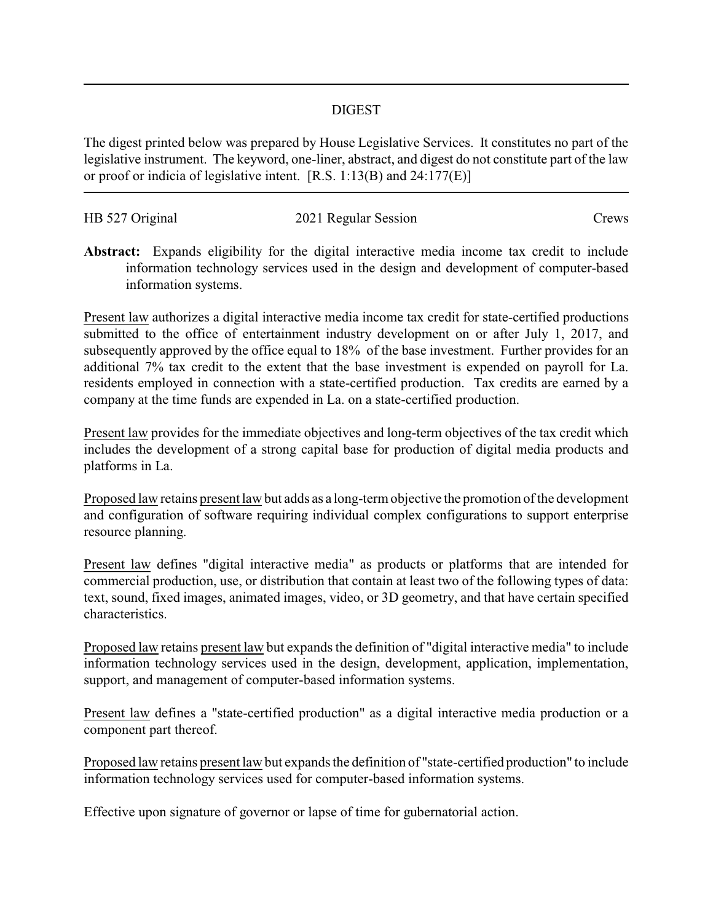## DIGEST

The digest printed below was prepared by House Legislative Services. It constitutes no part of the legislative instrument. The keyword, one-liner, abstract, and digest do not constitute part of the law or proof or indicia of legislative intent. [R.S. 1:13(B) and 24:177(E)]

| HB 527 Original | 2021 Regular Session | Crews |
|-----------------|----------------------|-------|
|                 |                      |       |

**Abstract:** Expands eligibility for the digital interactive media income tax credit to include information technology services used in the design and development of computer-based information systems.

Present law authorizes a digital interactive media income tax credit for state-certified productions submitted to the office of entertainment industry development on or after July 1, 2017, and subsequently approved by the office equal to 18% of the base investment. Further provides for an additional 7% tax credit to the extent that the base investment is expended on payroll for La. residents employed in connection with a state-certified production. Tax credits are earned by a company at the time funds are expended in La. on a state-certified production.

Present law provides for the immediate objectives and long-term objectives of the tax credit which includes the development of a strong capital base for production of digital media products and platforms in La.

Proposed law retains present law but adds as a long-term objective the promotion of the development and configuration of software requiring individual complex configurations to support enterprise resource planning.

Present law defines "digital interactive media" as products or platforms that are intended for commercial production, use, or distribution that contain at least two of the following types of data: text, sound, fixed images, animated images, video, or 3D geometry, and that have certain specified characteristics.

Proposed law retains present law but expands the definition of "digital interactive media" to include information technology services used in the design, development, application, implementation, support, and management of computer-based information systems.

Present law defines a "state-certified production" as a digital interactive media production or a component part thereof.

Proposed law retains present law but expands the definition of "state-certified production" to include information technology services used for computer-based information systems.

Effective upon signature of governor or lapse of time for gubernatorial action.